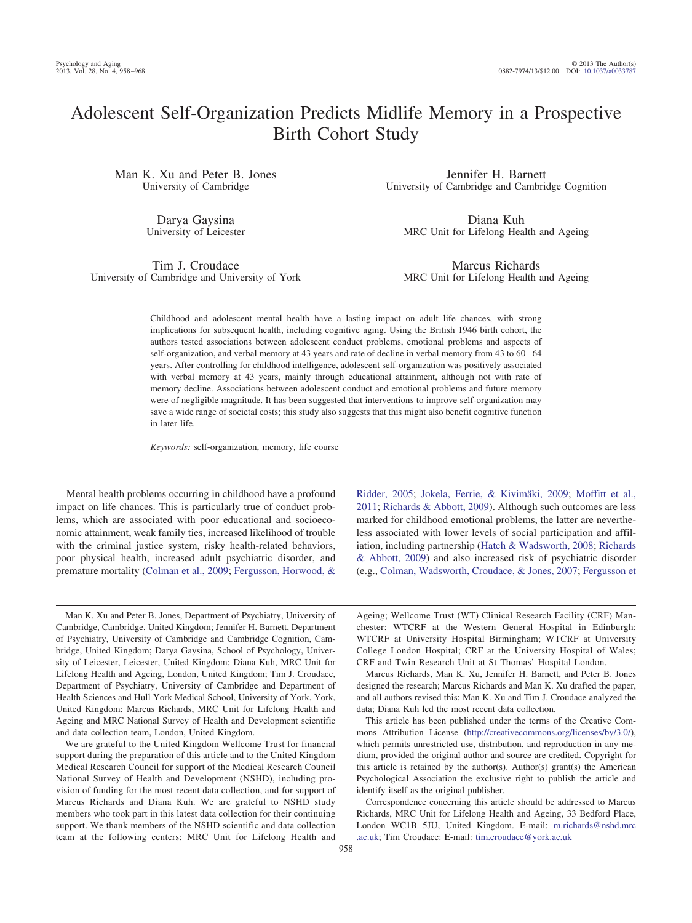# Adolescent Self-Organization Predicts Midlife Memory in a Prospective Birth Cohort Study

Man K. Xu and Peter B. Jones University of Cambridge

> Darya Gaysina University of Leicester

Tim J. Croudace University of Cambridge and University of York

Jennifer H. Barnett University of Cambridge and Cambridge Cognition

Diana Kuh MRC Unit for Lifelong Health and Ageing

Marcus Richards MRC Unit for Lifelong Health and Ageing

Childhood and adolescent mental health have a lasting impact on adult life chances, with strong implications for subsequent health, including cognitive aging. Using the British 1946 birth cohort, the authors tested associations between adolescent conduct problems, emotional problems and aspects of self-organization, and verbal memory at 43 years and rate of decline in verbal memory from 43 to 60–64 years. After controlling for childhood intelligence, adolescent self-organization was positively associated with verbal memory at 43 years, mainly through educational attainment, although not with rate of memory decline. Associations between adolescent conduct and emotional problems and future memory were of negligible magnitude. It has been suggested that interventions to improve self-organization may save a wide range of societal costs; this study also suggests that this might also benefit cognitive function in later life.

*Keywords:* self-organization, memory, life course

Mental health problems occurring in childhood have a profound impact on life chances. This is particularly true of conduct problems, which are associated with poor educational and socioeconomic attainment, weak family ties, increased likelihood of trouble with the criminal justice system, risky health-related behaviors, poor physical health, increased adult psychiatric disorder, and premature mortality [\(Colman et al., 2009;](#page-9-0) [Fergusson, Horwood, &](#page-9-1)

[Ridder, 2005;](#page-9-1) [Jokela, Ferrie, & Kivimäki, 2009;](#page-9-2) [Moffitt et al.,](#page-10-0) [2011;](#page-10-0) [Richards & Abbott, 2009\)](#page-10-1). Although such outcomes are less marked for childhood emotional problems, the latter are nevertheless associated with lower levels of social participation and affiliation, including partnership [\(Hatch & Wadsworth, 2008;](#page-9-3) [Richards](#page-10-1) [& Abbott, 2009\)](#page-10-1) and also increased risk of psychiatric disorder (e.g., [Colman, Wadsworth, Croudace, & Jones, 2007;](#page-9-4) [Fergusson et](#page-9-1)

Man K. Xu and Peter B. Jones, Department of Psychiatry, University of Cambridge, Cambridge, United Kingdom; Jennifer H. Barnett, Department of Psychiatry, University of Cambridge and Cambridge Cognition, Cambridge, United Kingdom; Darya Gaysina, School of Psychology, University of Leicester, Leicester, United Kingdom; Diana Kuh, MRC Unit for Lifelong Health and Ageing, London, United Kingdom; Tim J. Croudace, Department of Psychiatry, University of Cambridge and Department of Health Sciences and Hull York Medical School, University of York, York, United Kingdom; Marcus Richards, MRC Unit for Lifelong Health and Ageing and MRC National Survey of Health and Development scientific and data collection team, London, United Kingdom.

We are grateful to the United Kingdom Wellcome Trust for financial support during the preparation of this article and to the United Kingdom Medical Research Council for support of the Medical Research Council National Survey of Health and Development (NSHD), including provision of funding for the most recent data collection, and for support of Marcus Richards and Diana Kuh. We are grateful to NSHD study members who took part in this latest data collection for their continuing support. We thank members of the NSHD scientific and data collection team at the following centers: MRC Unit for Lifelong Health and

Ageing; Wellcome Trust (WT) Clinical Research Facility (CRF) Manchester; WTCRF at the Western General Hospital in Edinburgh; WTCRF at University Hospital Birmingham; WTCRF at University College London Hospital; CRF at the University Hospital of Wales; CRF and Twin Research Unit at St Thomas' Hospital London.

Marcus Richards, Man K. Xu, Jennifer H. Barnett, and Peter B. Jones designed the research; Marcus Richards and Man K. Xu drafted the paper, and all authors revised this; Man K. Xu and Tim J. Croudace analyzed the data; Diana Kuh led the most recent data collection.

This article has been published under the terms of the Creative Commons Attribution License [\(http://creativecommons.org/licenses/by/3.0/\)](http://creativecommons.org/licenses/by/3.0/), which permits unrestricted use, distribution, and reproduction in any medium, provided the original author and source are credited. Copyright for this article is retained by the author(s). Author(s) grant(s) the American Psychological Association the exclusive right to publish the article and identify itself as the original publisher.

Correspondence concerning this article should be addressed to Marcus Richards, MRC Unit for Lifelong Health and Ageing, 33 Bedford Place, London WC1B 5JU, United Kingdom. E-mail: [m.richards@nshd.mrc](mailto:m.richards@nshd.mrc.ac.uk) [.ac.uk;](mailto:m.richards@nshd.mrc.ac.uk) Tim Croudace: E-mail: [tim.croudace@york.ac.uk](mailto:tim.croudace@york.ac.uk)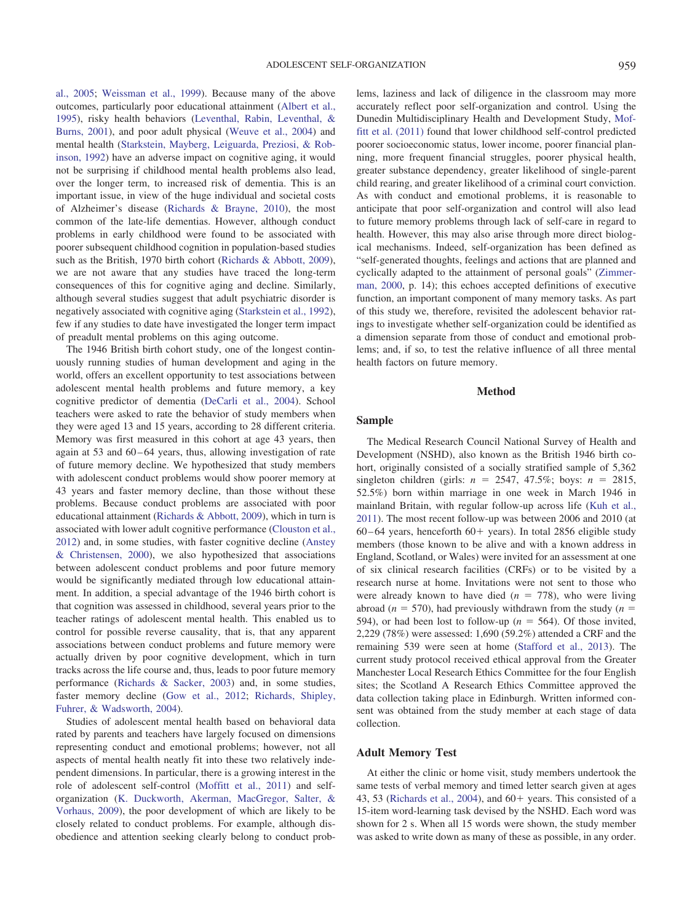[al., 2005;](#page-9-1) [Weissman et al., 1999\)](#page-10-2). Because many of the above outcomes, particularly poor educational attainment [\(Albert et al.,](#page-8-0) [1995\)](#page-8-0), risky health behaviors [\(Leventhal, Rabin, Leventhal, &](#page-9-5) [Burns, 2001\)](#page-9-5), and poor adult physical [\(Weuve et al., 2004\)](#page-10-3) and mental health [\(Starkstein, Mayberg, Leiguarda, Preziosi, & Rob](#page-10-4)[inson, 1992\)](#page-10-4) have an adverse impact on cognitive aging, it would not be surprising if childhood mental health problems also lead, over the longer term, to increased risk of dementia. This is an important issue, in view of the huge individual and societal costs of Alzheimer's disease [\(Richards & Brayne, 2010\)](#page-10-5), the most common of the late-life dementias. However, although conduct problems in early childhood were found to be associated with poorer subsequent childhood cognition in population-based studies such as the British, 1970 birth cohort [\(Richards & Abbott, 2009\)](#page-10-1), we are not aware that any studies have traced the long-term consequences of this for cognitive aging and decline. Similarly, although several studies suggest that adult psychiatric disorder is negatively associated with cognitive aging [\(Starkstein et al., 1992\)](#page-10-4), few if any studies to date have investigated the longer term impact of preadult mental problems on this aging outcome.

The 1946 British birth cohort study, one of the longest continuously running studies of human development and aging in the world, offers an excellent opportunity to test associations between adolescent mental health problems and future memory, a key cognitive predictor of dementia [\(DeCarli et al., 2004\)](#page-9-6). School teachers were asked to rate the behavior of study members when they were aged 13 and 15 years, according to 28 different criteria. Memory was first measured in this cohort at age 43 years, then again at  $53$  and  $60 - 64$  years, thus, allowing investigation of rate of future memory decline. We hypothesized that study members with adolescent conduct problems would show poorer memory at 43 years and faster memory decline, than those without these problems. Because conduct problems are associated with poor educational attainment [\(Richards & Abbott, 2009\)](#page-10-1), which in turn is associated with lower adult cognitive performance [\(Clouston et al.,](#page-9-7) [2012\)](#page-9-7) and, in some studies, with faster cognitive decline [\(Anstey](#page-8-1) [& Christensen, 2000\)](#page-8-1), we also hypothesized that associations between adolescent conduct problems and poor future memory would be significantly mediated through low educational attainment. In addition, a special advantage of the 1946 birth cohort is that cognition was assessed in childhood, several years prior to the teacher ratings of adolescent mental health. This enabled us to control for possible reverse causality, that is, that any apparent associations between conduct problems and future memory were actually driven by poor cognitive development, which in turn tracks across the life course and, thus, leads to poor future memory performance [\(Richards & Sacker, 2003\)](#page-10-6) and, in some studies, faster memory decline [\(Gow et al., 2012;](#page-9-8) [Richards, Shipley,](#page-10-7) [Fuhrer, & Wadsworth, 2004\)](#page-10-7).

Studies of adolescent mental health based on behavioral data rated by parents and teachers have largely focused on dimensions representing conduct and emotional problems; however, not all aspects of mental health neatly fit into these two relatively independent dimensions. In particular, there is a growing interest in the role of adolescent self-control [\(Moffitt et al., 2011\)](#page-10-0) and selforganization [\(K. Duckworth, Akerman, MacGregor, Salter, &](#page-9-9) [Vorhaus, 2009\)](#page-9-9), the poor development of which are likely to be closely related to conduct problems. For example, although disobedience and attention seeking clearly belong to conduct problems, laziness and lack of diligence in the classroom may more accurately reflect poor self-organization and control. Using the Dunedin Multidisciplinary Health and Development Study, [Mof](#page-10-0)[fitt et al. \(2011\)](#page-10-0) found that lower childhood self-control predicted poorer socioeconomic status, lower income, poorer financial planning, more frequent financial struggles, poorer physical health, greater substance dependency, greater likelihood of single-parent child rearing, and greater likelihood of a criminal court conviction. As with conduct and emotional problems, it is reasonable to anticipate that poor self-organization and control will also lead to future memory problems through lack of self-care in regard to health. However, this may also arise through more direct biological mechanisms. Indeed, self-organization has been defined as "self-generated thoughts, feelings and actions that are planned and cyclically adapted to the attainment of personal goals" [\(Zimmer](#page-10-8)[man, 2000,](#page-10-8) p. 14); this echoes accepted definitions of executive function, an important component of many memory tasks. As part of this study we, therefore, revisited the adolescent behavior ratings to investigate whether self-organization could be identified as a dimension separate from those of conduct and emotional problems; and, if so, to test the relative influence of all three mental health factors on future memory.

# **Method**

## **Sample**

The Medical Research Council National Survey of Health and Development (NSHD), also known as the British 1946 birth cohort, originally consisted of a socially stratified sample of 5,362 singleton children (girls:  $n = 2547, 47.5\%$ ; boys:  $n = 2815$ , 52.5%) born within marriage in one week in March 1946 in mainland Britain, with regular follow-up across life [\(Kuh et al.,](#page-9-10) [2011\)](#page-9-10). The most recent follow-up was between 2006 and 2010 (at  $60 - 64$  years, henceforth  $60 +$  years). In total 2856 eligible study members (those known to be alive and with a known address in England, Scotland, or Wales) were invited for an assessment at one of six clinical research facilities (CRFs) or to be visited by a research nurse at home. Invitations were not sent to those who were already known to have died  $(n = 778)$ , who were living abroad ( $n = 570$ ), had previously withdrawn from the study ( $n =$ 594), or had been lost to follow-up ( $n = 564$ ). Of those invited, 2,229 (78%) were assessed: 1,690 (59.2%) attended a CRF and the remaining 539 were seen at home [\(Stafford et al., 2013\)](#page-10-9). The current study protocol received ethical approval from the Greater Manchester Local Research Ethics Committee for the four English sites; the Scotland A Research Ethics Committee approved the data collection taking place in Edinburgh. Written informed consent was obtained from the study member at each stage of data collection.

#### **Adult Memory Test**

At either the clinic or home visit, study members undertook the same tests of verbal memory and timed letter search given at ages 43, 53 [\(Richards et al., 2004\)](#page-10-7), and  $60+$  years. This consisted of a 15-item word-learning task devised by the NSHD. Each word was shown for 2 s. When all 15 words were shown, the study member was asked to write down as many of these as possible, in any order.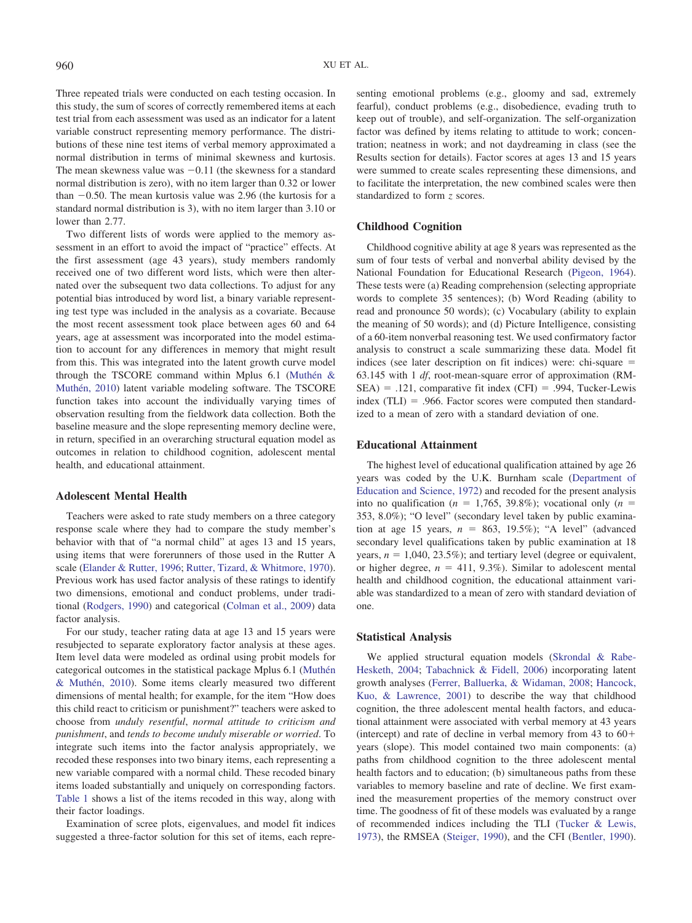Three repeated trials were conducted on each testing occasion. In this study, the sum of scores of correctly remembered items at each test trial from each assessment was used as an indicator for a latent variable construct representing memory performance. The distributions of these nine test items of verbal memory approximated a normal distribution in terms of minimal skewness and kurtosis. The mean skewness value was  $-0.11$  (the skewness for a standard normal distribution is zero), with no item larger than 0.32 or lower than  $-0.50$ . The mean kurtosis value was 2.96 (the kurtosis for a standard normal distribution is 3), with no item larger than 3.10 or lower than 2.77

Two different lists of words were applied to the memory assessment in an effort to avoid the impact of "practice" effects. At the first assessment (age 43 years), study members randomly received one of two different word lists, which were then alternated over the subsequent two data collections. To adjust for any potential bias introduced by word list, a binary variable representing test type was included in the analysis as a covariate. Because the most recent assessment took place between ages 60 and 64 years, age at assessment was incorporated into the model estimation to account for any differences in memory that might result from this. This was integrated into the latent growth curve model through the TSCORE command within Mplus 6.1 [\(Muthén &](#page-10-10) [Muthén, 2010\)](#page-10-10) latent variable modeling software. The TSCORE function takes into account the individually varying times of observation resulting from the fieldwork data collection. Both the baseline measure and the slope representing memory decline were, in return, specified in an overarching structural equation model as outcomes in relation to childhood cognition, adolescent mental health, and educational attainment.

## **Adolescent Mental Health**

Teachers were asked to rate study members on a three category response scale where they had to compare the study member's behavior with that of "a normal child" at ages 13 and 15 years, using items that were forerunners of those used in the Rutter A scale [\(Elander & Rutter, 1996;](#page-9-11) [Rutter, Tizard, & Whitmore, 1970\)](#page-10-11). Previous work has used factor analysis of these ratings to identify two dimensions, emotional and conduct problems, under traditional [\(Rodgers, 1990\)](#page-10-12) and categorical [\(Colman et al., 2009\)](#page-9-0) data factor analysis.

For our study, teacher rating data at age 13 and 15 years were resubjected to separate exploratory factor analysis at these ages. Item level data were modeled as ordinal using probit models for categorical outcomes in the statistical package Mplus 6.1 [\(Muthén](#page-10-10) [& Muthén, 2010\)](#page-10-10). Some items clearly measured two different dimensions of mental health; for example, for the item "How does this child react to criticism or punishment?" teachers were asked to choose from *unduly resentful*, *normal attitude to criticism and punishment*, and *tends to become unduly miserable or worried*. To integrate such items into the factor analysis appropriately, we recoded these responses into two binary items, each representing a new variable compared with a normal child. These recoded binary items loaded substantially and uniquely on corresponding factors. [Table 1](#page-3-0) shows a list of the items recoded in this way, along with their factor loadings.

Examination of scree plots, eigenvalues, and model fit indices suggested a three-factor solution for this set of items, each representing emotional problems (e.g., gloomy and sad, extremely fearful), conduct problems (e.g., disobedience, evading truth to keep out of trouble), and self-organization. The self-organization factor was defined by items relating to attitude to work; concentration; neatness in work; and not daydreaming in class (see the Results section for details). Factor scores at ages 13 and 15 years were summed to create scales representing these dimensions, and to facilitate the interpretation, the new combined scales were then standardized to form *z* scores.

#### **Childhood Cognition**

Childhood cognitive ability at age 8 years was represented as the sum of four tests of verbal and nonverbal ability devised by the National Foundation for Educational Research [\(Pigeon, 1964\)](#page-10-13). These tests were (a) Reading comprehension (selecting appropriate words to complete 35 sentences); (b) Word Reading (ability to read and pronounce 50 words); (c) Vocabulary (ability to explain the meaning of 50 words); and (d) Picture Intelligence, consisting of a 60-item nonverbal reasoning test. We used confirmatory factor analysis to construct a scale summarizing these data. Model fit indices (see later description on fit indices) were: chi-square 63.145 with 1 *df*, root-mean-square error of approximation (RM- $SEA$ ) = .121, comparative fit index (CFI) = .994, Tucker-Lewis index  $(TLI) = .966$ . Factor scores were computed then standardized to a mean of zero with a standard deviation of one.

## **Educational Attainment**

The highest level of educational qualification attained by age 26 years was coded by the U.K. Burnham scale [\(Department of](#page-9-12) [Education and Science, 1972\)](#page-9-12) and recoded for the present analysis into no qualification ( $n = 1,765, 39.8\%$ ); vocational only ( $n =$ 353, 8.0%); "O level" (secondary level taken by public examination at age 15 years,  $n = 863, 19.5\%$ ; "A level" (advanced secondary level qualifications taken by public examination at 18 years,  $n = 1,040, 23.5\%$ ); and tertiary level (degree or equivalent, or higher degree,  $n = 411, 9.3\%$ ). Similar to adolescent mental health and childhood cognition, the educational attainment variable was standardized to a mean of zero with standard deviation of one.

# **Statistical Analysis**

We applied structural equation models [\(Skrondal & Rabe-](#page-10-14)[Hesketh, 2004;](#page-10-14) [Tabachnick & Fidell, 2006\)](#page-10-15) incorporating latent growth analyses [\(Ferrer, Balluerka, & Widaman, 2008;](#page-9-13) [Hancock,](#page-9-14) [Kuo, & Lawrence, 2001\)](#page-9-14) to describe the way that childhood cognition, the three adolescent mental health factors, and educational attainment were associated with verbal memory at 43 years (intercept) and rate of decline in verbal memory from 43 to 60 years (slope). This model contained two main components: (a) paths from childhood cognition to the three adolescent mental health factors and to education; (b) simultaneous paths from these variables to memory baseline and rate of decline. We first examined the measurement properties of the memory construct over time. The goodness of fit of these models was evaluated by a range of recommended indices including the TLI [\(Tucker & Lewis,](#page-10-16) [1973\)](#page-10-16), the RMSEA [\(Steiger, 1990\)](#page-10-17), and the CFI [\(Bentler, 1990\)](#page-9-15).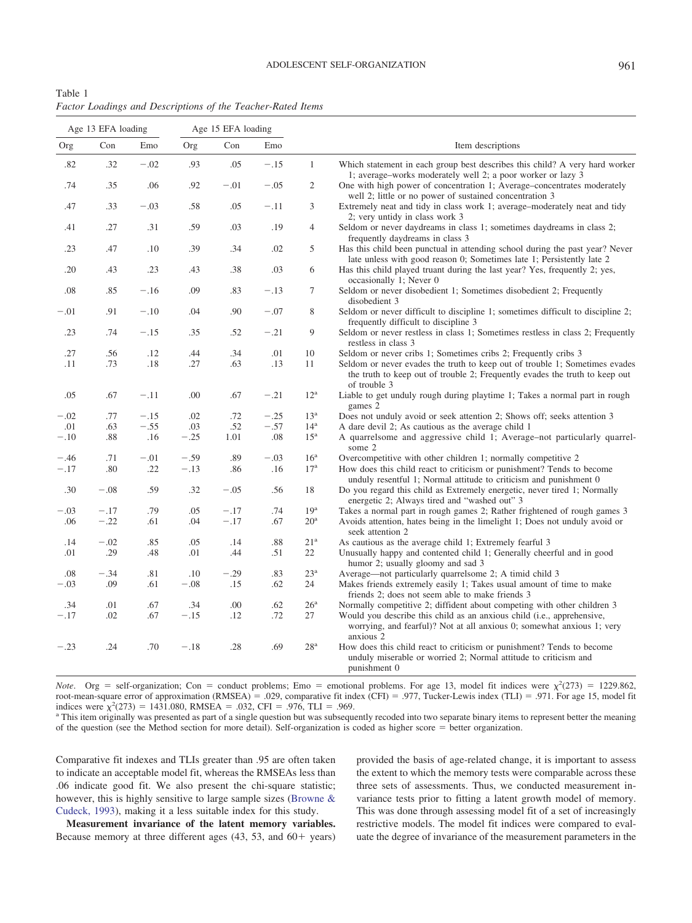<span id="page-3-0"></span>

| Table 1                                                     |  |  |  |
|-------------------------------------------------------------|--|--|--|
| Factor Loadings and Descriptions of the Teacher-Rated Items |  |  |  |

| Age 13 EFA loading |        |        |        | Age 15 EFA loading |         |                 |                                                                                                                                                                            |
|--------------------|--------|--------|--------|--------------------|---------|-----------------|----------------------------------------------------------------------------------------------------------------------------------------------------------------------------|
| Org                | Con    | Emo    | Org    | Con                | Emo     |                 | Item descriptions                                                                                                                                                          |
| .82                | .32    | $-.02$ | .93    | .05                | $-.15$  | $\mathbf{1}$    | Which statement in each group best describes this child? A very hard worker<br>1; average-works moderately well 2; a poor worker or lazy 3                                 |
| .74                | .35    | .06    | .92    | $-.01$             | $-.05$  | $\mathfrak{2}$  | One with high power of concentration 1; Average–concentrates moderately<br>well 2; little or no power of sustained concentration 3                                         |
| .47                | .33    | $-.03$ | .58    | .05                | $-.11$  | 3               | Extremely neat and tidy in class work 1; average–moderately neat and tidy<br>2; very untidy in class work 3                                                                |
| .41                | .27    | .31    | .59    | .03                | .19     | $\overline{4}$  | Seldom or never daydreams in class 1; sometimes daydreams in class 2;<br>frequently daydreams in class 3                                                                   |
| .23                | .47    | .10    | .39    | .34                | .02     | 5               | Has this child been punctual in attending school during the past year? Never<br>late unless with good reason 0; Sometimes late 1; Persistently late 2                      |
| .20                | .43    | .23    | .43    | .38                | .03     | 6               | Has this child played truant during the last year? Yes, frequently 2; yes,<br>occasionally 1; Never 0                                                                      |
| .08                | .85    | $-.16$ | .09    | .83                | $-.13$  | 7               | Seldom or never disobedient 1; Sometimes disobedient 2; Frequently<br>disobedient 3                                                                                        |
| $-.01$             | .91    | $-.10$ | .04    | .90                | $-.07$  | 8               | Seldom or never difficult to discipline 1; sometimes difficult to discipline 2;<br>frequently difficult to discipline 3                                                    |
| .23                | .74    | $-.15$ | .35    | .52                | $-.21$  | 9               | Seldom or never restless in class 1; Sometimes restless in class 2; Frequently<br>restless in class 3                                                                      |
| .27                | .56    | .12    | .44    | .34                | .01     | 10              | Seldom or never cribs 1; Sometimes cribs 2; Frequently cribs 3                                                                                                             |
| .11                | .73    | .18    | .27    | .63                | .13     | 11              | Seldom or never evades the truth to keep out of trouble 1; Sometimes evades<br>the truth to keep out of trouble 2; Frequently evades the truth to keep out<br>of trouble 3 |
| .05                | .67    | $-.11$ | .00    | .67                | $-.21$  | $12^{\rm a}$    | Liable to get unduly rough during playtime 1; Takes a normal part in rough<br>games 2                                                                                      |
| $-.02$             | .77    | $-.15$ | .02    | .72                | $-.25$  | $13^{\rm a}$    | Does not unduly avoid or seek attention 2; Shows off; seeks attention 3                                                                                                    |
| .01                | .63    | $-.55$ | .03    | .52                | $-.57$  | 14 <sup>a</sup> | A dare devil 2; As cautious as the average child 1                                                                                                                         |
| $-.10$             | .88    | .16    | $-.25$ | 1.01               | .08     | $15^{\rm a}$    | A quarrelsome and aggressive child 1; Average-not particularly quarrel-<br>some 2                                                                                          |
| $-.46$             | .71    | $-.01$ | $-.59$ | .89                | $-.03$  | 16 <sup>a</sup> | Overcompetitive with other children 1; normally competitive 2                                                                                                              |
| $-.17$             | .80    | .22    | $-.13$ | .86                | .16     | 17 <sup>a</sup> | How does this child react to criticism or punishment? Tends to become<br>unduly resentful 1; Normal attitude to criticism and punishment 0                                 |
| .30                | $-.08$ | .59    | .32    | $-.05$             | .56     | 18              | Do you regard this child as Extremely energetic, never tired 1; Normally<br>energetic 2; Always tired and "washed out" 3                                                   |
| $-.03$             | $-.17$ | .79    | .05    | $-.17$             | .74     | $19^a$          | Takes a normal part in rough games 2; Rather frightened of rough games 3                                                                                                   |
| .06                | $-.22$ | .61    | .04    | $-.17$             | .67     | $20^{\rm a}$    | Avoids attention, hates being in the limelight 1; Does not unduly avoid or<br>seek attention 2                                                                             |
| .14                | $-.02$ | .85    | .05    | .14                | $.88\,$ | $21^{\rm a}$    | As cautious as the average child 1; Extremely fearful 3                                                                                                                    |
| .01                | .29    | .48    | .01    | .44                | .51     | 22              | Unusually happy and contented child 1; Generally cheerful and in good<br>humor 2; usually gloomy and sad 3                                                                 |
| .08                | $-.34$ | .81    | .10    | $-.29$             | .83     | $23^{\rm a}$    | Average—not particularly quarrelsome 2; A timid child 3                                                                                                                    |
| $-.03$             | .09    | .61    | $-.08$ | .15                | .62     | 24              | Makes friends extremely easily 1; Takes usual amount of time to make<br>friends 2; does not seem able to make friends 3                                                    |
| .34                | .01    | .67    | .34    | $.00\,$            | .62     | $26^{\rm a}$    | Normally competitive 2; diffident about competing with other children 3                                                                                                    |
| $-.17$             | .02    | .67    | $-.15$ | .12                | .72     | 27              | Would you describe this child as an anxious child (i.e., apprehensive,<br>worrying, and fearful)? Not at all anxious 0; somewhat anxious 1; very<br>anxious 2              |
| $-.23$             | .24    | .70    | $-.18$ | .28                | .69     | 28 <sup>a</sup> | How does this child react to criticism or punishment? Tends to become<br>unduly miserable or worried 2; Normal attitude to criticism and<br>punishment 0                   |

*Note*. Org = self-organization; Con = conduct problems; Emo = emotional problems. For age 13, model fit indices were  $\chi^2(273)$  = 1229.862, root-mean-square error of approximation (RMSEA) = .029, comparative fit index (CFI) = .977, Tucker-Lewis index (TLI) = .971. For age 15, model fit indices were  $\chi^2(273) = 1431.080$ , RMSEA = .032, CFI = .976, TLI = .969.

<sup>a</sup> This item originally was presented as part of a single question but was subsequently recoded into two separate binary items to represent better the meaning of the question (see the Method section for more detail). Self-organization is coded as higher score better organization.

Comparative fit indexes and TLIs greater than .95 are often taken to indicate an acceptable model fit, whereas the RMSEAs less than .06 indicate good fit. We also present the chi-square statistic; however, this is highly sensitive to large sample sizes [\(Browne &](#page-9-16) [Cudeck, 1993\)](#page-9-16), making it a less suitable index for this study.

**Measurement invariance of the latent memory variables.** Because memory at three different ages (43, 53, and 60+ years)

provided the basis of age-related change, it is important to assess the extent to which the memory tests were comparable across these three sets of assessments. Thus, we conducted measurement invariance tests prior to fitting a latent growth model of memory. This was done through assessing model fit of a set of increasingly restrictive models. The model fit indices were compared to evaluate the degree of invariance of the measurement parameters in the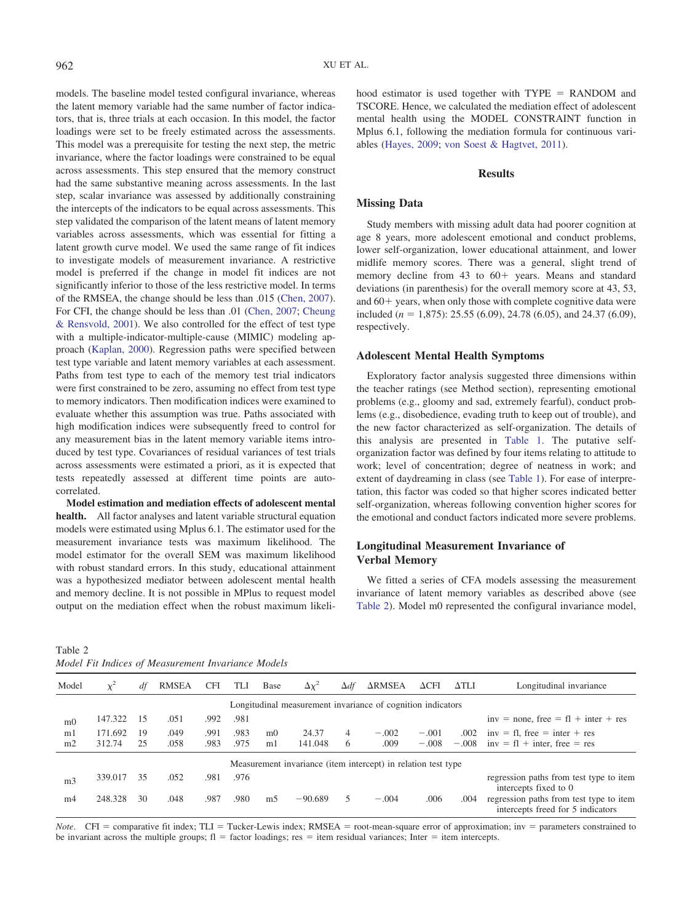models. The baseline model tested configural invariance, whereas the latent memory variable had the same number of factor indicators, that is, three trials at each occasion. In this model, the factor loadings were set to be freely estimated across the assessments. This model was a prerequisite for testing the next step, the metric invariance, where the factor loadings were constrained to be equal across assessments. This step ensured that the memory construct had the same substantive meaning across assessments. In the last step, scalar invariance was assessed by additionally constraining the intercepts of the indicators to be equal across assessments. This step validated the comparison of the latent means of latent memory variables across assessments, which was essential for fitting a latent growth curve model. We used the same range of fit indices to investigate models of measurement invariance. A restrictive model is preferred if the change in model fit indices are not significantly inferior to those of the less restrictive model. In terms of the RMSEA, the change should be less than .015 [\(Chen, 2007\)](#page-9-17). For CFI, the change should be less than .01 [\(Chen, 2007;](#page-9-17) [Cheung](#page-9-18) [& Rensvold, 2001\)](#page-9-18). We also controlled for the effect of test type with a multiple-indicator-multiple-cause (MIMIC) modeling approach [\(Kaplan, 2000\)](#page-9-19). Regression paths were specified between test type variable and latent memory variables at each assessment. Paths from test type to each of the memory test trial indicators were first constrained to be zero, assuming no effect from test type to memory indicators. Then modification indices were examined to evaluate whether this assumption was true. Paths associated with high modification indices were subsequently freed to control for any measurement bias in the latent memory variable items introduced by test type. Covariances of residual variances of test trials across assessments were estimated a priori, as it is expected that tests repeatedly assessed at different time points are autocorrelated.

**Model estimation and mediation effects of adolescent mental health.** All factor analyses and latent variable structural equation models were estimated using Mplus 6.1. The estimator used for the measurement invariance tests was maximum likelihood. The model estimator for the overall SEM was maximum likelihood with robust standard errors. In this study, educational attainment was a hypothesized mediator between adolescent mental health and memory decline. It is not possible in MPlus to request model output on the mediation effect when the robust maximum likelihood estimator is used together with  $TYPE =$  RANDOM and TSCORE. Hence, we calculated the mediation effect of adolescent mental health using the MODEL CONSTRAINT function in Mplus 6.1, following the mediation formula for continuous variables [\(Hayes, 2009;](#page-9-20) [von Soest & Hagtvet, 2011\)](#page-10-18).

# **Results**

# **Missing Data**

Study members with missing adult data had poorer cognition at age 8 years, more adolescent emotional and conduct problems, lower self-organization, lower educational attainment, and lower midlife memory scores. There was a general, slight trend of memory decline from 43 to 60+ years. Means and standard deviations (in parenthesis) for the overall memory score at 43, 53, and 60+ years, when only those with complete cognitive data were included ( $n = 1,875$ ): 25.55 (6.09), 24.78 (6.05), and 24.37 (6.09), respectively.

#### **Adolescent Mental Health Symptoms**

Exploratory factor analysis suggested three dimensions within the teacher ratings (see Method section), representing emotional problems (e.g., gloomy and sad, extremely fearful), conduct problems (e.g., disobedience, evading truth to keep out of trouble), and the new factor characterized as self-organization. The details of this analysis are presented in [Table 1.](#page-3-0) The putative selforganization factor was defined by four items relating to attitude to work; level of concentration; degree of neatness in work; and extent of daydreaming in class (see [Table 1\)](#page-3-0). For ease of interpretation, this factor was coded so that higher scores indicated better self-organization, whereas following convention higher scores for the emotional and conduct factors indicated more severe problems.

# **Longitudinal Measurement Invariance of Verbal Memory**

We fitted a series of CFA models assessing the measurement invariance of latent memory variables as described above (see [Table 2\)](#page-4-0). Model m0 represented the configural invariance model,

<span id="page-4-0"></span>Table 2 *Model Fit Indices of Measurement Invariance Models*

| Model          | $\chi^2$                                                      | df | <b>RMSEA</b> | <b>CFI</b> | TLI  | Base           | $\Delta \chi^2$ | $\Delta df$ | <b>ARMSEA</b> | $\Delta$ CFI | $\Delta TLI$ | Longitudinal invariance                                                      |  |
|----------------|---------------------------------------------------------------|----|--------------|------------|------|----------------|-----------------|-------------|---------------|--------------|--------------|------------------------------------------------------------------------------|--|
|                | Longitudinal measurement invariance of cognition indicators   |    |              |            |      |                |                 |             |               |              |              |                                                                              |  |
| m <sub>0</sub> | 147.322                                                       | 15 | .051         | .992       | .981 |                |                 |             |               |              |              | $inv = none$ , free = fl + inter + res                                       |  |
| m <sub>1</sub> | 171.692                                                       | 19 | .049         | .991       | .983 | m <sub>0</sub> | 24.37           | 4           | $-.002$       | $-.001$      | .002         | $inv = fl$ , free = inter + res                                              |  |
| m2             | 312.74                                                        | 25 | .058         | .983       | .975 | m1             | 141.048         | 6           | .009          | $-.008$      | $-.008$      | $inv = f1 + inter$ , free = res                                              |  |
|                | Measurement invariance (item intercept) in relation test type |    |              |            |      |                |                 |             |               |              |              |                                                                              |  |
| m <sub>3</sub> | 339.017                                                       | 35 | .052         | .981       | .976 |                |                 |             |               |              |              | regression paths from test type to item<br>intercepts fixed to 0             |  |
| m <sub>4</sub> | 248.328                                                       | 30 | .048         | .987       | .980 | m <sub>5</sub> | $-90.689$       |             | $-.004$       | .006         | .004         | regression paths from test type to item<br>intercepts freed for 5 indicators |  |

*Note*. CFI = comparative fit index; TLI = Tucker-Lewis index; RMSEA = root-mean-square error of approximation; inv = parameters constrained to be invariant across the multiple groups;  $f =$  factor loadings; res = item residual variances; Inter = item intercepts.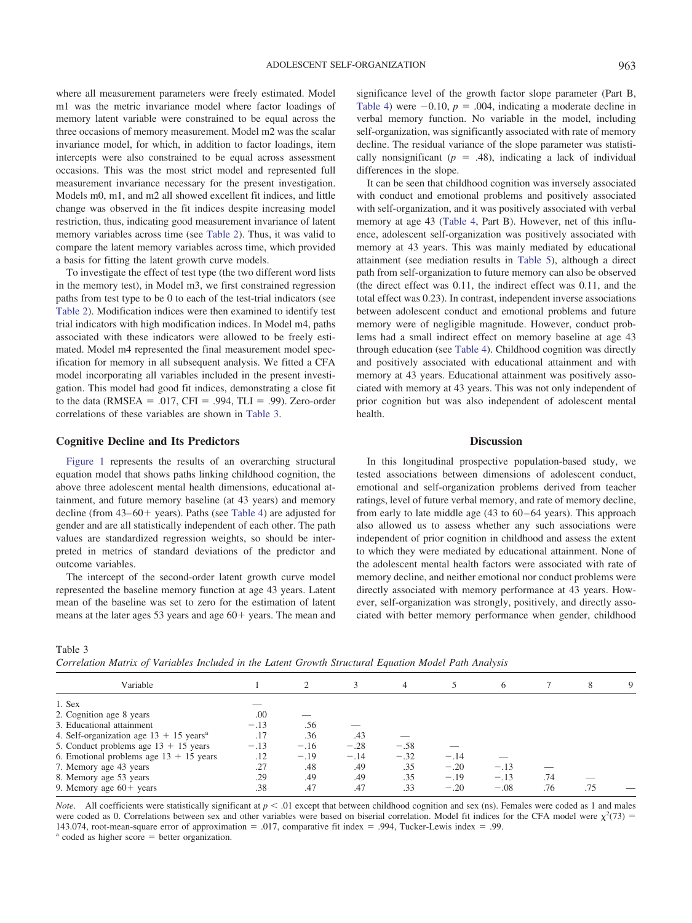where all measurement parameters were freely estimated. Model m1 was the metric invariance model where factor loadings of memory latent variable were constrained to be equal across the three occasions of memory measurement. Model m2 was the scalar invariance model, for which, in addition to factor loadings, item intercepts were also constrained to be equal across assessment occasions. This was the most strict model and represented full measurement invariance necessary for the present investigation. Models m0, m1, and m2 all showed excellent fit indices, and little change was observed in the fit indices despite increasing model restriction, thus, indicating good measurement invariance of latent memory variables across time (see [Table 2\)](#page-4-0). Thus, it was valid to compare the latent memory variables across time, which provided a basis for fitting the latent growth curve models.

To investigate the effect of test type (the two different word lists in the memory test), in Model m3, we first constrained regression paths from test type to be 0 to each of the test-trial indicators (see [Table 2\)](#page-4-0). Modification indices were then examined to identify test trial indicators with high modification indices. In Model m4, paths associated with these indicators were allowed to be freely estimated. Model m4 represented the final measurement model specification for memory in all subsequent analysis. We fitted a CFA model incorporating all variables included in the present investigation. This model had good fit indices, demonstrating a close fit to the data (RMSEA = .017, CFI = .994, TLI = .99). Zero-order correlations of these variables are shown in [Table 3.](#page-5-0)

## **Cognitive Decline and Its Predictors**

[Figure 1](#page-6-0) represents the results of an overarching structural equation model that shows paths linking childhood cognition, the above three adolescent mental health dimensions, educational attainment, and future memory baseline (at 43 years) and memory decline (from 43–60+ years). Paths (see [Table 4\)](#page-7-0) are adjusted for gender and are all statistically independent of each other. The path values are standardized regression weights, so should be interpreted in metrics of standard deviations of the predictor and outcome variables.

The intercept of the second-order latent growth curve model represented the baseline memory function at age 43 years. Latent mean of the baseline was set to zero for the estimation of latent means at the later ages 53 years and age 60+ years. The mean and significance level of the growth factor slope parameter (Part B, [Table 4\)](#page-7-0) were  $-0.10$ ,  $p = .004$ , indicating a moderate decline in verbal memory function. No variable in the model, including self-organization, was significantly associated with rate of memory decline. The residual variance of the slope parameter was statistically nonsignificant  $(p = .48)$ , indicating a lack of individual differences in the slope.

It can be seen that childhood cognition was inversely associated with conduct and emotional problems and positively associated with self-organization, and it was positively associated with verbal memory at age 43 [\(Table 4,](#page-7-0) Part B). However, net of this influence, adolescent self-organization was positively associated with memory at 43 years. This was mainly mediated by educational attainment (see mediation results in [Table 5\)](#page-8-2), although a direct path from self-organization to future memory can also be observed (the direct effect was 0.11, the indirect effect was 0.11, and the total effect was 0.23). In contrast, independent inverse associations between adolescent conduct and emotional problems and future memory were of negligible magnitude. However, conduct problems had a small indirect effect on memory baseline at age 43 through education (see [Table 4\)](#page-7-0). Childhood cognition was directly and positively associated with educational attainment and with memory at 43 years. Educational attainment was positively associated with memory at 43 years. This was not only independent of prior cognition but was also independent of adolescent mental health.

## **Discussion**

In this longitudinal prospective population-based study, we tested associations between dimensions of adolescent conduct, emotional and self-organization problems derived from teacher ratings, level of future verbal memory, and rate of memory decline, from early to late middle age (43 to 60–64 years). This approach also allowed us to assess whether any such associations were independent of prior cognition in childhood and assess the extent to which they were mediated by educational attainment. None of the adolescent mental health factors were associated with rate of memory decline, and neither emotional nor conduct problems were directly associated with memory performance at 43 years. However, self-organization was strongly, positively, and directly associated with better memory performance when gender, childhood

<span id="page-5-0"></span>

|--|--|

*Correlation Matrix of Variables Included in the Latent Growth Structural Equation Model Path Analysis*

| Variable                                              |        |        |        |        |        | 6      |     | 8   | 9 |
|-------------------------------------------------------|--------|--------|--------|--------|--------|--------|-----|-----|---|
| $1.$ Sex                                              |        |        |        |        |        |        |     |     |   |
| 2. Cognition age 8 years                              | .00    |        |        |        |        |        |     |     |   |
| 3. Educational attainment                             | $-.13$ | .56    |        |        |        |        |     |     |   |
| 4. Self-organization age $13 + 15$ years <sup>a</sup> | .17    | .36    | .43    |        |        |        |     |     |   |
| 5. Conduct problems age $13 + 15$ years               | $-.13$ | $-.16$ | $-.28$ | $-.58$ |        |        |     |     |   |
| 6. Emotional problems age $13 + 15$ years             | .12    | $-.19$ | $-.14$ | $-.32$ | $-.14$ |        |     |     |   |
| 7. Memory age 43 years                                | .27    | .48    | .49    | .35    | $-.20$ | $-.13$ |     |     |   |
| 8. Memory age 53 years                                | .29    | .49    | .49    | .35    | $-.19$ | $-.13$ | .74 |     |   |
| 9. Memory age $60+$ years                             | .38    | .47    | .47    | .33    | $-.20$ | $-.08$ | .76 | .75 |   |

*Note*. All coefficients were statistically significant at  $p < 0.01$  except that between childhood cognition and sex (ns). Females were coded as 1 and males were coded as 0. Correlations between sex and other variables were based on biserial correlation. Model fit indices for the CFA model were  $\chi^2(73)$  = 143.074, root-mean-square error of approximation = .017, comparative fit index = .994, Tucker-Lewis index = .99.  $a$  coded as higher score = better organization.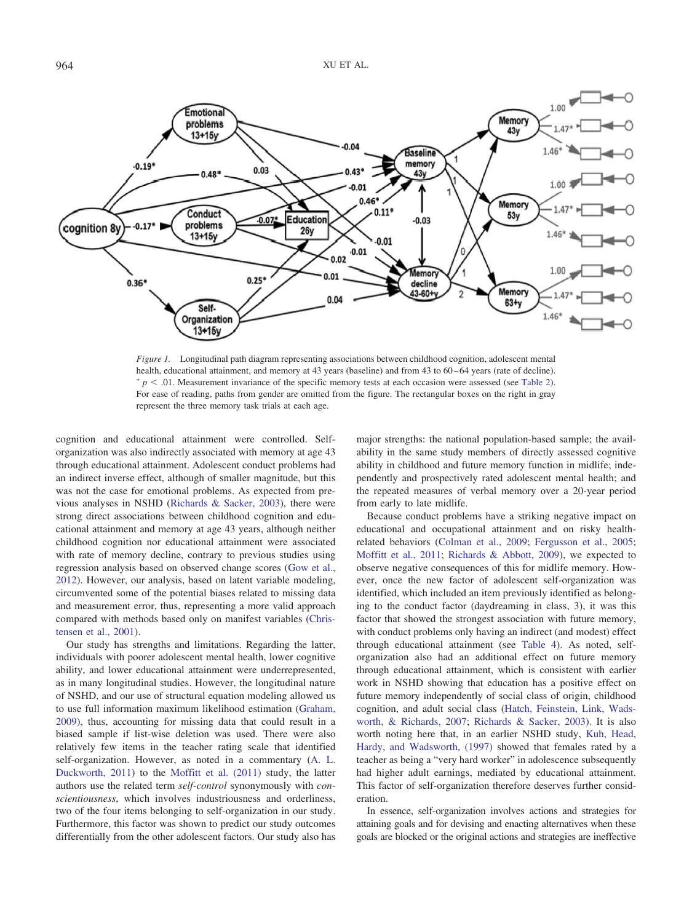

<span id="page-6-0"></span>*Figure 1.* Longitudinal path diagram representing associations between childhood cognition, adolescent mental health, educational attainment, and memory at 43 years (baseline) and from 43 to 60-64 years (rate of decline).  $p < .01$ . Measurement invariance of the specific memory tests at each occasion were assessed (see [Table 2\)](#page-4-0). For ease of reading, paths from gender are omitted from the figure. The rectangular boxes on the right in gray represent the three memory task trials at each age.

cognition and educational attainment were controlled. Selforganization was also indirectly associated with memory at age 43 through educational attainment. Adolescent conduct problems had an indirect inverse effect, although of smaller magnitude, but this was not the case for emotional problems. As expected from previous analyses in NSHD [\(Richards & Sacker, 2003\)](#page-10-6), there were strong direct associations between childhood cognition and educational attainment and memory at age 43 years, although neither childhood cognition nor educational attainment were associated with rate of memory decline, contrary to previous studies using regression analysis based on observed change scores [\(Gow et al.,](#page-9-8) [2012\)](#page-9-8). However, our analysis, based on latent variable modeling, circumvented some of the potential biases related to missing data and measurement error, thus, representing a more valid approach compared with methods based only on manifest variables [\(Chris](#page-9-21)[tensen et al., 2001\)](#page-9-21).

Our study has strengths and limitations. Regarding the latter, individuals with poorer adolescent mental health, lower cognitive ability, and lower educational attainment were underrepresented, as in many longitudinal studies. However, the longitudinal nature of NSHD, and our use of structural equation modeling allowed us to use full information maximum likelihood estimation [\(Graham,](#page-9-22) [2009\)](#page-9-22), thus, accounting for missing data that could result in a biased sample if list-wise deletion was used. There were also relatively few items in the teacher rating scale that identified self-organization. However, as noted in a commentary [\(A. L.](#page-9-23) [Duckworth, 2011\)](#page-9-23) to the [Moffitt et al. \(2011\)](#page-10-0) study, the latter authors use the related term *self-control* synonymously with *conscientiousness*, which involves industriousness and orderliness, two of the four items belonging to self-organization in our study. Furthermore, this factor was shown to predict our study outcomes differentially from the other adolescent factors. Our study also has major strengths: the national population-based sample; the availability in the same study members of directly assessed cognitive ability in childhood and future memory function in midlife; independently and prospectively rated adolescent mental health; and the repeated measures of verbal memory over a 20-year period from early to late midlife.

Because conduct problems have a striking negative impact on educational and occupational attainment and on risky healthrelated behaviors [\(Colman et al., 2009;](#page-9-0) [Fergusson et al., 2005;](#page-9-1) [Moffitt et al., 2011;](#page-10-0) [Richards & Abbott, 2009\)](#page-10-1), we expected to observe negative consequences of this for midlife memory. However, once the new factor of adolescent self-organization was identified, which included an item previously identified as belonging to the conduct factor (daydreaming in class, 3), it was this factor that showed the strongest association with future memory, with conduct problems only having an indirect (and modest) effect through educational attainment (see [Table 4\)](#page-7-0). As noted, selforganization also had an additional effect on future memory through educational attainment, which is consistent with earlier work in NSHD showing that education has a positive effect on future memory independently of social class of origin, childhood cognition, and adult social class [\(Hatch, Feinstein, Link, Wads](#page-9-24)[worth, & Richards, 2007;](#page-9-24) [Richards & Sacker, 2003\)](#page-10-6). It is also worth noting here that, in an earlier NSHD study, [Kuh, Head,](#page-9-25) [Hardy, and Wadsworth, \(1997\)](#page-9-25) showed that females rated by a teacher as being a "very hard worker" in adolescence subsequently had higher adult earnings, mediated by educational attainment. This factor of self-organization therefore deserves further consideration.

In essence, self-organization involves actions and strategies for attaining goals and for devising and enacting alternatives when these goals are blocked or the original actions and strategies are ineffective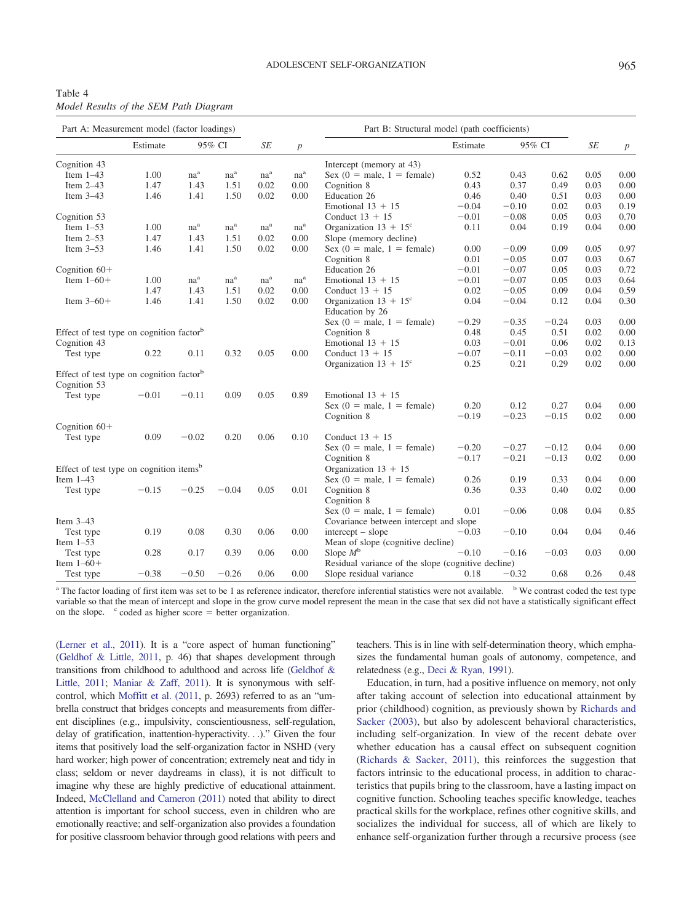<span id="page-7-0"></span>

| Table 4                               |  |  |
|---------------------------------------|--|--|
| Model Results of the SEM Path Diagram |  |  |

| Part A: Measurement model (factor loadings)          |          |                 |                 |                 |                  | Part B: Structural model (path coefficients)       |          |         |         |      |                                                                                                                      |
|------------------------------------------------------|----------|-----------------|-----------------|-----------------|------------------|----------------------------------------------------|----------|---------|---------|------|----------------------------------------------------------------------------------------------------------------------|
|                                                      | Estimate |                 | 95% CI          | $\cal SE$       | $\boldsymbol{p}$ |                                                    | Estimate |         | 95% CI  | SE   | $\boldsymbol{p}$                                                                                                     |
| Cognition 43                                         |          |                 |                 |                 |                  | Intercept (memory at 43)                           |          |         |         |      | 0.00<br>0.97<br>0.67<br>0.72<br>0.64<br>0.59<br>0.30<br>0.00<br>0.00<br>0.13<br>0.00<br>0.00<br>0.00<br>0.00<br>0.85 |
| Item $1-43$                                          | 1.00     | na <sup>a</sup> | na <sup>a</sup> | na <sup>a</sup> | na <sup>a</sup>  | Sex $(0 = male, 1 = female)$                       | 0.52     | 0.43    | 0.62    | 0.05 | 0.00                                                                                                                 |
| Item $2-43$                                          | 1.47     | 1.43            | 1.51            | 0.02            | 0.00             | Cognition 8                                        | 0.43     | 0.37    | 0.49    | 0.03 | 0.00                                                                                                                 |
| Item $3-43$                                          | 1.46     | 1.41            | 1.50            | 0.02            | 0.00             | Education 26                                       | 0.46     | 0.40    | 0.51    | 0.03 | 0.00                                                                                                                 |
|                                                      |          |                 |                 |                 |                  | Emotional $13 + 15$                                | $-0.04$  | $-0.10$ | 0.02    | 0.03 | 0.19                                                                                                                 |
| Cognition 53                                         |          |                 |                 |                 |                  | Conduct $13 + 15$                                  | $-0.01$  | $-0.08$ | 0.05    | 0.03 | 0.70                                                                                                                 |
| Item $1-53$                                          | 1.00     | na <sup>a</sup> | $na^a$          | na <sup>a</sup> | na <sup>a</sup>  | Organization $13 + 15^{\circ}$                     | 0.11     | 0.04    | 0.19    | 0.04 |                                                                                                                      |
| Item $2-53$                                          | 1.47     | 1.43            | 1.51            | 0.02            | 0.00             | Slope (memory decline)                             |          |         |         |      |                                                                                                                      |
| Item $3-53$                                          | 1.46     | 1.41            | 1.50            | 0.02            | 0.00             | Sex $(0 = male, 1 = female)$                       | 0.00     | $-0.09$ | 0.09    | 0.05 |                                                                                                                      |
|                                                      |          |                 |                 |                 |                  | Cognition 8                                        | 0.01     | $-0.05$ | 0.07    | 0.03 |                                                                                                                      |
| Cognition $60+$                                      |          |                 |                 |                 |                  | Education 26                                       | $-0.01$  | $-0.07$ | 0.05    | 0.03 |                                                                                                                      |
| Item $1-60+$                                         | 1.00     | na <sup>a</sup> | na <sup>a</sup> | na <sup>a</sup> | na <sup>a</sup>  | Emotional $13 + 15$                                | $-0.01$  | $-0.07$ | 0.05    | 0.03 |                                                                                                                      |
|                                                      | 1.47     | 1.43            | 1.51            | 0.02            | 0.00             | Conduct $13 + 15$                                  | 0.02     | $-0.05$ | 0.09    | 0.04 |                                                                                                                      |
| Item $3-60+$                                         | 1.46     | 1.41            | 1.50            | 0.02            | 0.00             | Organization $13 + 15^{\circ}$                     | 0.04     | $-0.04$ | 0.12    | 0.04 |                                                                                                                      |
|                                                      |          |                 |                 |                 |                  | Education by 26                                    |          |         |         |      |                                                                                                                      |
|                                                      |          |                 |                 |                 |                  | Sex $(0 = male, 1 = female)$                       | $-0.29$  | $-0.35$ | $-0.24$ | 0.03 |                                                                                                                      |
| Effect of test type on cognition factor <sup>b</sup> |          |                 |                 |                 |                  | Cognition 8                                        | 0.48     | 0.45    | 0.51    | 0.02 |                                                                                                                      |
| Cognition 43                                         |          |                 |                 |                 |                  | Emotional $13 + 15$                                | 0.03     | $-0.01$ | 0.06    | 0.02 |                                                                                                                      |
| Test type                                            | 0.22     | 0.11            | 0.32            | 0.05            | 0.00             | Conduct $13 + 15$                                  | $-0.07$  | $-0.11$ | $-0.03$ | 0.02 |                                                                                                                      |
|                                                      |          |                 |                 |                 |                  | Organization $13 + 15^{\circ}$                     | 0.25     | 0.21    | 0.29    | 0.02 |                                                                                                                      |
| Effect of test type on cognition factor <sup>b</sup> |          |                 |                 |                 |                  |                                                    |          |         |         |      |                                                                                                                      |
| Cognition 53                                         |          |                 |                 |                 |                  |                                                    |          |         |         |      |                                                                                                                      |
| Test type                                            | $-0.01$  | $-0.11$         | 0.09            | 0.05            | 0.89             | Emotional $13 + 15$                                |          |         |         |      |                                                                                                                      |
|                                                      |          |                 |                 |                 |                  | Sex $(0 = male, 1 = female)$                       | 0.20     | 0.12    | 0.27    | 0.04 | 0.00                                                                                                                 |
|                                                      |          |                 |                 |                 |                  | Cognition 8                                        | $-0.19$  | $-0.23$ | $-0.15$ | 0.02 | 0.00                                                                                                                 |
| Cognition $60+$                                      |          |                 |                 |                 |                  |                                                    |          |         |         |      |                                                                                                                      |
| Test type                                            | 0.09     | $-0.02$         | 0.20            | 0.06            | 0.10             | Conduct $13 + 15$                                  |          |         |         |      |                                                                                                                      |
|                                                      |          |                 |                 |                 |                  | Sex $(0 = male, 1 = female)$                       | $-0.20$  | $-0.27$ | $-0.12$ | 0.04 | 0.00                                                                                                                 |
|                                                      |          |                 |                 |                 |                  | Cognition 8                                        | $-0.17$  | $-0.21$ | $-0.13$ | 0.02 | 0.00                                                                                                                 |
| Effect of test type on cognition items <sup>b</sup>  |          |                 |                 |                 |                  | Organization $13 + 15$                             |          |         |         |      |                                                                                                                      |
| Item $1-43$                                          |          |                 |                 |                 |                  | Sex $(0 = male, 1 = female)$                       | 0.26     | 0.19    | 0.33    | 0.04 |                                                                                                                      |
| Test type                                            | $-0.15$  | $-0.25$         | $-0.04$         | 0.05            | 0.01             | Cognition 8                                        | 0.36     | 0.33    | 0.40    | 0.02 |                                                                                                                      |
|                                                      |          |                 |                 |                 |                  | Cognition 8                                        |          |         |         |      |                                                                                                                      |
|                                                      |          |                 |                 |                 |                  | Sex $(0 = male, 1 = female)$                       | 0.01     | $-0.06$ | 0.08    | 0.04 |                                                                                                                      |
| Item $3-43$                                          |          |                 |                 |                 |                  | Covariance between intercept and slope             |          |         |         |      |                                                                                                                      |
| Test type                                            | 0.19     | 0.08            | 0.30            | 0.06            | 0.00             | $intercept - slope$                                | $-0.03$  | $-0.10$ | 0.04    | 0.04 | 0.46                                                                                                                 |
| Item $1-53$                                          |          |                 |                 |                 |                  | Mean of slope (cognitive decline)                  |          |         |         |      |                                                                                                                      |
| Test type                                            | 0.28     | 0.17            | 0.39            | 0.06            | 0.00             | Slope $M^b$                                        | $-0.10$  | $-0.16$ | $-0.03$ | 0.03 | 0.00                                                                                                                 |
| Item $1-60+$                                         |          |                 |                 |                 |                  | Residual variance of the slope (cognitive decline) |          |         |         |      |                                                                                                                      |
| Test type                                            | $-0.38$  | $-0.50$         | $-0.26$         | 0.06            | 0.00             | Slope residual variance                            | 0.18     | $-0.32$ | 0.68    | 0.26 | 0.48                                                                                                                 |
|                                                      |          |                 |                 |                 |                  |                                                    |          |         |         |      |                                                                                                                      |

<sup>a</sup> The factor loading of first item was set to be 1 as reference indicator, therefore inferential statistics were not available.  $\frac{b}{c}$  We contrast coded the test type variable so that the mean of intercept and slope in the grow curve model represent the mean in the case that sex did not have a statistically significant effect on the slope.  $\degree$  coded as higher score  $=$  better organization.

[\(Lerner et al., 2011\)](#page-9-26). It is a "core aspect of human functioning" [\(Geldhof & Little, 2011,](#page-9-27) p. 46) that shapes development through transitions from childhood to adulthood and across life [\(Geldhof &](#page-9-27) [Little, 2011;](#page-9-27) [Maniar & Zaff, 2011\)](#page-9-28). It is synonymous with selfcontrol, which [Moffitt et al. \(2011,](#page-10-0) p. 2693) referred to as an "umbrella construct that bridges concepts and measurements from different disciplines (e.g., impulsivity, conscientiousness, self-regulation, delay of gratification, inattention-hyperactivity. . .)." Given the four items that positively load the self-organization factor in NSHD (very hard worker; high power of concentration; extremely neat and tidy in class; seldom or never daydreams in class), it is not difficult to imagine why these are highly predictive of educational attainment. Indeed, [McClelland and Cameron \(2011\)](#page-9-29) noted that ability to direct attention is important for school success, even in children who are emotionally reactive; and self-organization also provides a foundation for positive classroom behavior through good relations with peers and

teachers. This is in line with self-determination theory, which emphasizes the fundamental human goals of autonomy, competence, and relatedness (e.g., [Deci & Ryan, 1991\)](#page-9-30).

Education, in turn, had a positive influence on memory, not only after taking account of selection into educational attainment by prior (childhood) cognition, as previously shown by [Richards and](#page-10-6) [Sacker \(2003\),](#page-10-6) but also by adolescent behavioral characteristics, including self-organization. In view of the recent debate over whether education has a causal effect on subsequent cognition [\(Richards & Sacker, 2011\)](#page-10-19), this reinforces the suggestion that factors intrinsic to the educational process, in addition to characteristics that pupils bring to the classroom, have a lasting impact on cognitive function. Schooling teaches specific knowledge, teaches practical skills for the workplace, refines other cognitive skills, and socializes the individual for success, all of which are likely to enhance self-organization further through a recursive process (see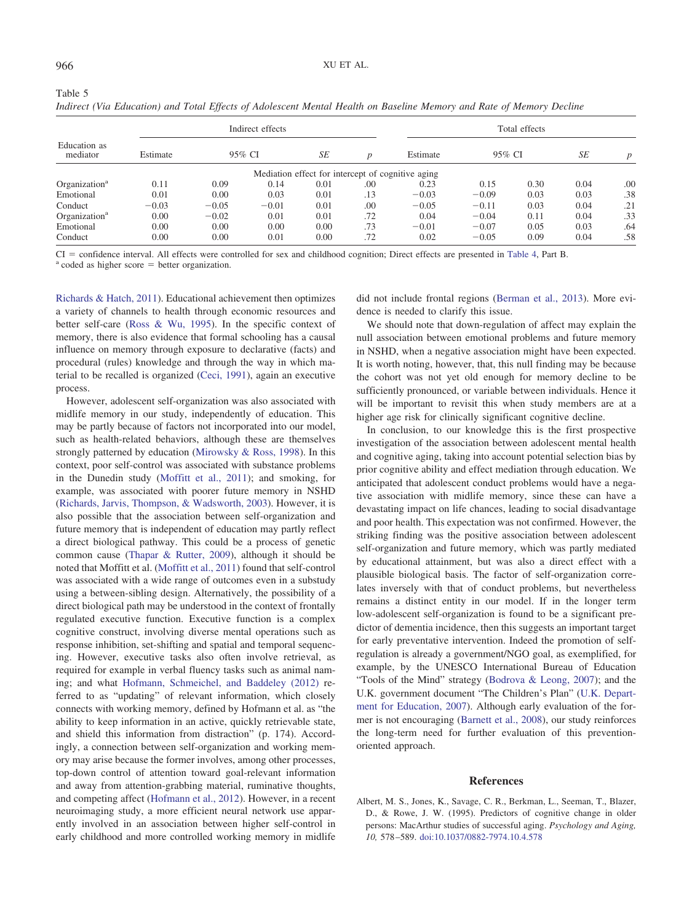<span id="page-8-2"></span><span id="page-8-1"></span>

| Table 5 |                                                                                                                      |  |  |  |  |  |  |
|---------|----------------------------------------------------------------------------------------------------------------------|--|--|--|--|--|--|
|         | Indirect (Via Education) and Total Effects of Adolescent Mental Health on Baseline Memory and Rate of Memory Decline |  |  |  |  |  |  |

|                                                   |          |         | Indirect effects |      |                  | Total effects |         |      |      |     |  |  |  |
|---------------------------------------------------|----------|---------|------------------|------|------------------|---------------|---------|------|------|-----|--|--|--|
| Education as<br>mediator                          | Estimate |         | 95% CI           | SE   | $\boldsymbol{D}$ | Estimate      | 95% CI  |      | SE   | p   |  |  |  |
| Mediation effect for intercept of cognitive aging |          |         |                  |      |                  |               |         |      |      |     |  |  |  |
| Organization <sup>a</sup>                         | 0.11     | 0.09    | 0.14             | 0.01 | .00.             | 0.23          | 0.15    | 0.30 | 0.04 | .00 |  |  |  |
| Emotional                                         | 0.01     | 0.00    | 0.03             | 0.01 | .13              | $-0.03$       | $-0.09$ | 0.03 | 0.03 | .38 |  |  |  |
| Conduct                                           | $-0.03$  | $-0.05$ | $-0.01$          | 0.01 | .00              | $-0.05$       | $-0.11$ | 0.03 | 0.04 | .21 |  |  |  |
| Organization <sup>a</sup>                         | 0.00     | $-0.02$ | 0.01             | 0.01 | .72              | 0.04          | $-0.04$ | 0.11 | 0.04 | .33 |  |  |  |
| Emotional                                         | 0.00     | 0.00    | 0.00             | 0.00 | .73              | $-0.01$       | $-0.07$ | 0.05 | 0.03 | .64 |  |  |  |
| Conduct                                           | 0.00     | 0.00    | 0.01             | 0.00 | .72              | 0.02          | $-0.05$ | 0.09 | 0.04 | .58 |  |  |  |

 $CI =$  confidence interval. All effects were controlled for sex and childhood cognition; Direct effects are presented in [Table 4,](#page-7-0) Part B.  $a$  coded as higher score  $=$  better organization.

[Richards & Hatch, 2011\)](#page-10-20). Educational achievement then optimizes a variety of channels to health through economic resources and better self-care [\(Ross & Wu, 1995\)](#page-10-21). In the specific context of memory, there is also evidence that formal schooling has a causal influence on memory through exposure to declarative (facts) and procedural (rules) knowledge and through the way in which material to be recalled is organized [\(Ceci, 1991\)](#page-9-31), again an executive process.

However, adolescent self-organization was also associated with midlife memory in our study, independently of education. This may be partly because of factors not incorporated into our model, such as health-related behaviors, although these are themselves strongly patterned by education [\(Mirowsky & Ross, 1998\)](#page-10-22). In this context, poor self-control was associated with substance problems in the Dunedin study [\(Moffitt et al., 2011\)](#page-10-0); and smoking, for example, was associated with poorer future memory in NSHD [\(Richards, Jarvis, Thompson, & Wadsworth, 2003\)](#page-10-23). However, it is also possible that the association between self-organization and future memory that is independent of education may partly reflect a direct biological pathway. This could be a process of genetic common cause [\(Thapar & Rutter, 2009\)](#page-10-24), although it should be noted that Moffitt et al. [\(Moffitt et al., 2011\)](#page-10-0) found that self-control was associated with a wide range of outcomes even in a substudy using a between-sibling design. Alternatively, the possibility of a direct biological path may be understood in the context of frontally regulated executive function. Executive function is a complex cognitive construct, involving diverse mental operations such as response inhibition, set-shifting and spatial and temporal sequencing. However, executive tasks also often involve retrieval, as required for example in verbal fluency tasks such as animal naming; and what [Hofmann, Schmeichel, and Baddeley \(2012\)](#page-9-32) referred to as "updating" of relevant information, which closely connects with working memory, defined by Hofmann et al. as "the ability to keep information in an active, quickly retrievable state, and shield this information from distraction" (p. 174). Accordingly, a connection between self-organization and working memory may arise because the former involves, among other processes, top-down control of attention toward goal-relevant information and away from attention-grabbing material, ruminative thoughts, and competing affect [\(Hofmann et al., 2012\)](#page-9-32). However, in a recent neuroimaging study, a more efficient neural network use apparently involved in an association between higher self-control in early childhood and more controlled working memory in midlife did not include frontal regions [\(Berman et al., 2013\)](#page-9-33). More evidence is needed to clarify this issue.

We should note that down-regulation of affect may explain the null association between emotional problems and future memory in NSHD, when a negative association might have been expected. It is worth noting, however, that, this null finding may be because the cohort was not yet old enough for memory decline to be sufficiently pronounced, or variable between individuals. Hence it will be important to revisit this when study members are at a higher age risk for clinically significant cognitive decline.

In conclusion, to our knowledge this is the first prospective investigation of the association between adolescent mental health and cognitive aging, taking into account potential selection bias by prior cognitive ability and effect mediation through education. We anticipated that adolescent conduct problems would have a negative association with midlife memory, since these can have a devastating impact on life chances, leading to social disadvantage and poor health. This expectation was not confirmed. However, the striking finding was the positive association between adolescent self-organization and future memory, which was partly mediated by educational attainment, but was also a direct effect with a plausible biological basis. The factor of self-organization correlates inversely with that of conduct problems, but nevertheless remains a distinct entity in our model. If in the longer term low-adolescent self-organization is found to be a significant predictor of dementia incidence, then this suggests an important target for early preventative intervention. Indeed the promotion of selfregulation is already a government/NGO goal, as exemplified, for example, by the UNESCO International Bureau of Education "Tools of the Mind" strategy [\(Bodrova & Leong, 2007\)](#page-9-34); and the U.K. government document "The Children's Plan" [\(U.K. Depart](#page-10-25)[ment for Education, 2007\)](#page-10-25). Although early evaluation of the former is not encouraging [\(Barnett et al., 2008\)](#page-9-35), our study reinforces the long-term need for further evaluation of this preventionoriented approach.

#### **References**

<span id="page-8-0"></span>Albert, M. S., Jones, K., Savage, C. R., Berkman, L., Seeman, T., Blazer, D., & Rowe, J. W. (1995). Predictors of cognitive change in older persons: MacArthur studies of successful aging. *Psychology and Aging, 10,* 578 –589. [doi:10.1037/0882-7974.10.4.578](http://dx.doi.org/10.1037/0882-7974.10.4.578)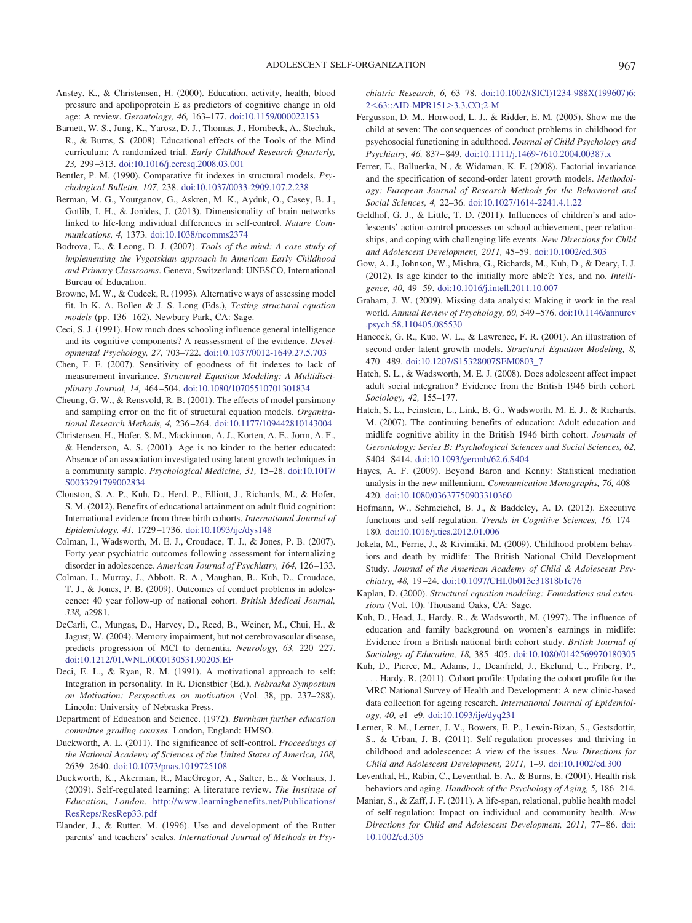- <span id="page-9-29"></span>Anstey, K., & Christensen, H. (2000). Education, activity, health, blood pressure and apolipoprotein E as predictors of cognitive change in old age: A review. *Gerontology, 46,* 163–177. [doi:10.1159/000022153](http://dx.doi.org/10.1159/000022153)
- <span id="page-9-35"></span>Barnett, W. S., Jung, K., Yarosz, D. J., Thomas, J., Hornbeck, A., Stechuk, R., & Burns, S. (2008). Educational effects of the Tools of the Mind curriculum: A randomized trial. *Early Childhood Research Quarterly, 23,* 299 –313. [doi:10.1016/j.ecresq.2008.03.001](http://dx.doi.org/10.1016/j.ecresq.2008.03.001)
- <span id="page-9-15"></span>Bentler, P. M. (1990). Comparative fit indexes in structural models. *Psychological Bulletin, 107,* 238. [doi:10.1037/0033-2909.107.2.238](http://dx.doi.org/10.1037/0033-2909.107.2.238)
- <span id="page-9-33"></span>Berman, M. G., Yourganov, G., Askren, M. K., Ayduk, O., Casey, B. J., Gotlib, I. H., & Jonides, J. (2013). Dimensionality of brain networks linked to life-long individual differences in self-control. *Nature Communications, 4,* 1373. [doi:10.1038/ncomms2374](http://dx.doi.org/10.1038/ncomms2374)
- <span id="page-9-34"></span>Bodrova, E., & Leong, D. J. (2007). *Tools of the mind: A case study of implementing the Vygotskian approach in American Early Childhood and Primary Classrooms*. Geneva, Switzerland: UNESCO, International Bureau of Education.
- <span id="page-9-16"></span>Browne, M. W., & Cudeck, R. (1993). Alternative ways of assessing model fit. In K. A. Bollen & J. S. Long (Eds.), *Testing structural equation* models (pp. 136-162). Newbury Park, CA: Sage.
- <span id="page-9-31"></span>Ceci, S. J. (1991). How much does schooling influence general intelligence and its cognitive components? A reassessment of the evidence. *Developmental Psychology, 27,* 703–722. [doi:10.1037/0012-1649.27.5.703](http://dx.doi.org/10.1037/0012-1649.27.5.703)
- <span id="page-9-17"></span>Chen, F. F. (2007). Sensitivity of goodness of fit indexes to lack of measurement invariance. *Structural Equation Modeling: A Multidisciplinary Journal, 14,* 464 –504. [doi:10.1080/10705510701301834](http://dx.doi.org/10.1080/10705510701301834)
- <span id="page-9-18"></span>Cheung, G. W., & Rensvold, R. B. (2001). The effects of model parsimony and sampling error on the fit of structural equation models. *Organizational Research Methods, 4,* 236 –264. [doi:10.1177/109442810143004](http://dx.doi.org/10.1177/109442810143004)
- <span id="page-9-21"></span>Christensen, H., Hofer, S. M., Mackinnon, A. J., Korten, A. E., Jorm, A. F., & Henderson, A. S. (2001). Age is no kinder to the better educated: Absence of an association investigated using latent growth techniques in a community sample. *Psychological Medicine, 31,* 15–28. [doi:10.1017/](http://dx.doi.org/10.1017/S0033291799002834) [S0033291799002834](http://dx.doi.org/10.1017/S0033291799002834)
- <span id="page-9-7"></span>Clouston, S. A. P., Kuh, D., Herd, P., Elliott, J., Richards, M., & Hofer, S. M. (2012). Benefits of educational attainment on adult fluid cognition: International evidence from three birth cohorts. *International Journal of Epidemiology, 41,* 1729 –1736. [doi:10.1093/ije/dys148](http://dx.doi.org/10.1093/ije/dys148)
- <span id="page-9-4"></span>Colman, I., Wadsworth, M. E. J., Croudace, T. J., & Jones, P. B. (2007). Forty-year psychiatric outcomes following assessment for internalizing disorder in adolescence. *American Journal of Psychiatry, 164, 126*-133.
- <span id="page-9-0"></span>Colman, I., Murray, J., Abbott, R. A., Maughan, B., Kuh, D., Croudace, T. J., & Jones, P. B. (2009). Outcomes of conduct problems in adolescence: 40 year follow-up of national cohort. *British Medical Journal, 338,* a2981.
- <span id="page-9-6"></span>DeCarli, C., Mungas, D., Harvey, D., Reed, B., Weiner, M., Chui, H., & Jagust, W. (2004). Memory impairment, but not cerebrovascular disease, predicts progression of MCI to dementia. *Neurology, 63,* 220 –227. [doi:10.1212/01.WNL.0000130531.90205.EF](http://dx.doi.org/10.1212/01.WNL.0000130531.90205.EF)
- <span id="page-9-30"></span>Deci, E. L., & Ryan, R. M. (1991). A motivational approach to self: Integration in personality. In R. Dienstbier (Ed.), *Nebraska Symposium on Motivation: Perspectives on motivation* (Vol. 38, pp. 237–288). Lincoln: University of Nebraska Press.
- <span id="page-9-12"></span>Department of Education and Science. (1972). *Burnham further education committee grading courses*. London, England: HMSO.
- <span id="page-9-23"></span>Duckworth, A. L. (2011). The significance of self-control. *Proceedings of the National Academy of Sciences of the United States of America, 108,* 2639 –2640. [doi:10.1073/pnas.1019725108](http://dx.doi.org/10.1073/pnas.1019725108)
- <span id="page-9-9"></span>Duckworth, K., Akerman, R., MacGregor, A., Salter, E., & Vorhaus, J. (2009). Self-regulated learning: A literature review. *The Institute of Education, London*. [http://www.learningbenefits.net/Publications/](http://www.learningbenefits.net/Publications/ResReps/ResRep33.pdf) [ResReps/ResRep33.pdf](http://www.learningbenefits.net/Publications/ResReps/ResRep33.pdf)
- <span id="page-9-11"></span>Elander, J., & Rutter, M. (1996). Use and development of the Rutter parents' and teachers' scales. *International Journal of Methods in Psy-*

*chiatric Research, 6,* 63–78. [doi:10.1002/\(SICI\)1234-988X\(199607\)6:](http://dx.doi.org/10.1002/%28SICI%291234-988X%28199607%296:2%3C63::AID-MPR151%3E3.3.CO%3B2-M) 2<[63::AID-MPR151](http://dx.doi.org/10.1002/%28SICI%291234-988X%28199607%296:2%3C63::AID-MPR151%3E3.3.CO%3B2-M)>3.3.CO;2-M

- <span id="page-9-1"></span>Fergusson, D. M., Horwood, L. J., & Ridder, E. M. (2005). Show me the child at seven: The consequences of conduct problems in childhood for psychosocial functioning in adulthood. *Journal of Child Psychology and Psychiatry, 46,* 837– 849. [doi:10.1111/j.1469-7610.2004.00387.x](http://dx.doi.org/10.1111/j.1469-7610.2004.00387.x)
- <span id="page-9-13"></span>Ferrer, E., Balluerka, N., & Widaman, K. F. (2008). Factorial invariance and the specification of second-order latent growth models. *Methodology: European Journal of Research Methods for the Behavioral and Social Sciences, 4,* 22–36. [doi:10.1027/1614-2241.4.1.22](http://dx.doi.org/10.1027/1614-2241.4.1.22)
- <span id="page-9-27"></span>Geldhof, G. J., & Little, T. D. (2011). Influences of children's and adolescents' action-control processes on school achievement, peer relationships, and coping with challenging life events. *New Directions for Child and Adolescent Development, 2011,* 45–59. [doi:10.1002/cd.303](http://dx.doi.org/10.1002/cd.303)
- <span id="page-9-8"></span>Gow, A. J., Johnson, W., Mishra, G., Richards, M., Kuh, D., & Deary, I. J. (2012). Is age kinder to the initially more able?: Yes, and no. *Intelligence, 40,* 49 –59. [doi:10.1016/j.intell.2011.10.007](http://dx.doi.org/10.1016/j.intell.2011.10.007)
- <span id="page-9-22"></span>Graham, J. W. (2009). Missing data analysis: Making it work in the real world. *Annual Review of Psychology, 60,* 549 –576. [doi:10.1146/annurev](http://dx.doi.org/10.1146/annurev.psych.58.110405.085530) [.psych.58.110405.085530](http://dx.doi.org/10.1146/annurev.psych.58.110405.085530)
- <span id="page-9-14"></span>Hancock, G. R., Kuo, W. L., & Lawrence, F. R. (2001). An illustration of second-order latent growth models. *Structural Equation Modeling, 8,* 470 – 489. [doi:10.1207/S15328007SEM0803\\_7](http://dx.doi.org/10.1207/S15328007SEM0803_7)
- <span id="page-9-3"></span>Hatch, S. L., & Wadsworth, M. E. J. (2008). Does adolescent affect impact adult social integration? Evidence from the British 1946 birth cohort. *Sociology, 42,* 155–177.
- <span id="page-9-24"></span>Hatch, S. L., Feinstein, L., Link, B. G., Wadsworth, M. E. J., & Richards, M. (2007). The continuing benefits of education: Adult education and midlife cognitive ability in the British 1946 birth cohort. *Journals of Gerontology: Series B: Psychological Sciences and Social Sciences, 62,* S404 –S414. [doi:10.1093/geronb/62.6.S404](http://dx.doi.org/10.1093/geronb/62.6.S404)
- <span id="page-9-20"></span>Hayes, A. F. (2009). Beyond Baron and Kenny: Statistical mediation analysis in the new millennium. *Communication Monographs, 76,* 408 – 420. [doi:10.1080/03637750903310360](http://dx.doi.org/10.1080/03637750903310360)
- <span id="page-9-32"></span>Hofmann, W., Schmeichel, B. J., & Baddeley, A. D. (2012). Executive functions and self-regulation. *Trends in Cognitive Sciences, 16,* 174 – 180. [doi:10.1016/j.tics.2012.01.006](http://dx.doi.org/10.1016/j.tics.2012.01.006)
- <span id="page-9-2"></span>Jokela, M., Ferrie, J., & Kivimäki, M. (2009). Childhood problem behaviors and death by midlife: The British National Child Development Study. *Journal of the American Academy of Child & Adolescent Psychiatry, 48,* 19 –24. [doi:10.1097/CHI.0b013e31818b1c76](http://dx.doi.org/10.1097/CHI.0b013e31818b1c76)
- <span id="page-9-19"></span>Kaplan, D. (2000). *Structural equation modeling: Foundations and extensions* (Vol. 10). Thousand Oaks, CA: Sage.
- <span id="page-9-25"></span>Kuh, D., Head, J., Hardy, R., & Wadsworth, M. (1997). The influence of education and family background on women's earnings in midlife: Evidence from a British national birth cohort study. *British Journal of Sociology of Education, 18,* 385– 405. [doi:10.1080/0142569970180305](http://dx.doi.org/10.1080/0142569970180305)
- <span id="page-9-10"></span>Kuh, D., Pierce, M., Adams, J., Deanfield, J., Ekelund, U., Friberg, P., . . . Hardy, R. (2011). Cohort profile: Updating the cohort profile for the MRC National Survey of Health and Development: A new clinic-based data collection for ageing research. *International Journal of Epidemiology, 40,* e1– e9. [doi:10.1093/ije/dyq231](http://dx.doi.org/10.1093/ije/dyq231)
- <span id="page-9-26"></span>Lerner, R. M., Lerner, J. V., Bowers, E. P., Lewin-Bizan, S., Gestsdottir, S., & Urban, J. B. (2011). Self-regulation processes and thriving in childhood and adolescence: A view of the issues. *New Directions for Child and Adolescent Development, 2011,* 1–9. [doi:10.1002/cd.300](http://dx.doi.org/10.1002/cd.300)
- <span id="page-9-5"></span>Leventhal, H., Rabin, C., Leventhal, E. A., & Burns, E. (2001). Health risk behaviors and aging. *Handbook of the Psychology of Aging, 5,* 186 –214.
- <span id="page-9-28"></span>Maniar, S., & Zaff, J. F. (2011). A life-span, relational, public health model of self-regulation: Impact on individual and community health. *New Directions for Child and Adolescent Development, 2011,* 77– 86. [doi:](http://dx.doi.org/10.1002/cd.305) [10.1002/cd.305](http://dx.doi.org/10.1002/cd.305)